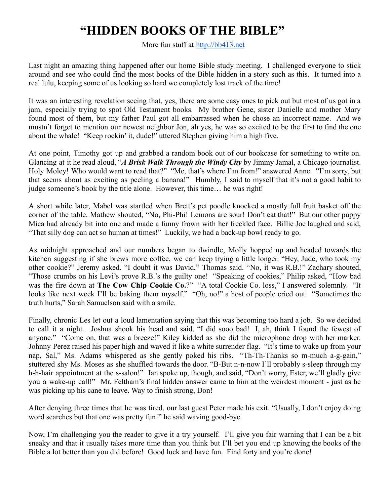## **"HIDDEN BOOKS OF THE BIBLE"**

More fun stuff at <http://bb413.net>

Last night an amazing thing happened after our home Bible study meeting. I challenged everyone to stick around and see who could find the most books of the Bible hidden in a story such as this. It turned into a real lulu, keeping some of us looking so hard we completely lost track of the time!

It was an interesting revelation seeing that, yes, there are some easy ones to pick out but most of us got in a jam, especially trying to spot Old Testament books. My brother Gene, sister Danielle and mother Mary found most of them, but my father Paul got all embarrassed when he chose an incorrect name. And we mustn't forget to mention our newest neighbor Jon, ah yes, he was so excited to be the first to find the one about the whale! "Keep rockin' it, dude!" uttered Stephen giving him a high five.

At one point, Timothy got up and grabbed a random book out of our bookcase for something to write on. Glancing at it he read aloud, "*A Brisk Walk Through the Windy City* by Jimmy Jamal, a Chicago journalist. Holy Moley! Who would want to read that?" "Me, that's where I'm from!" answered Anne. "I'm sorry, but that seems about as exciting as peeling a banana!" Humbly, I said to myself that it's not a good habit to judge someone's book by the title alone. However, this time… he was right!

A short while later, Mabel was startled when Brett's pet poodle knocked a mostly full fruit basket off the corner of the table. Mathew shouted, "No, Phi-Phi! Lemons are sour! Don't eat that!" But our other puppy Mica had already bit into one and made a funny frown with her freckled face. Billie Joe laughed and said, "That silly dog can act so human at times!" Luckily, we had a back-up bowl ready to go.

As midnight approached and our numbers began to dwindle, Molly hopped up and headed towards the kitchen suggesting if she brews more coffee, we can keep trying a little longer. "Hey, Jude, who took my other cookie?" Jeremy asked. "I doubt it was David," Thomas said. "No, it was R.B.!" Zachary shouted, "Those crumbs on his Levi's prove R.B.'s the guilty one! "Speaking of cookies," Philip asked, "How bad was the fire down at **The Cow Chip Cookie Co.**?" "A total Cookie Co. loss," I answered solemnly. "It looks like next week I'll be baking them myself." "Oh, no!" a host of people cried out. "Sometimes the truth hurts," Sarah Samuelson said with a smile.

Finally, chronic Les let out a loud lamentation saying that this was becoming too hard a job. So we decided to call it a night. Joshua shook his head and said, "I did sooo bad! I, ah, think I found the fewest of anyone." "Come on, that was a breeze!" Kiley kidded as she did the microphone drop with her marker. Johnny Perez raised his paper high and waved it like a white surrender flag. "It's time to wake up from your nap, Sal," Ms. Adams whispered as she gently poked his ribs. "Th-Th-Thanks so m-much a-g-gain," stuttered shy Ms. Moses as she shuffled towards the door. "B-But n-n-now I'll probably s-sleep through my h-h-hair appointment at the s-salon!" Ian spoke up, though, and said, "Don't worry, Ester, we'll gladly give you a wake-up call!" Mr. Feltham's final hidden answer came to him at the weirdest moment - just as he was picking up his cane to leave. Way to finish strong, Don!

After denying three times that he was tired, our last guest Peter made his exit. "Usually, I don't enjoy doing word searches but that one was pretty fun!" he said waving good-bye.

Now, I'm challenging you the reader to give it a try yourself. I'll give you fair warning that I can be a bit sneaky and that it usually takes more time than you think but I'll bet you end up knowing the books of the Bible a lot better than you did before! Good luck and have fun. Find forty and you're done!